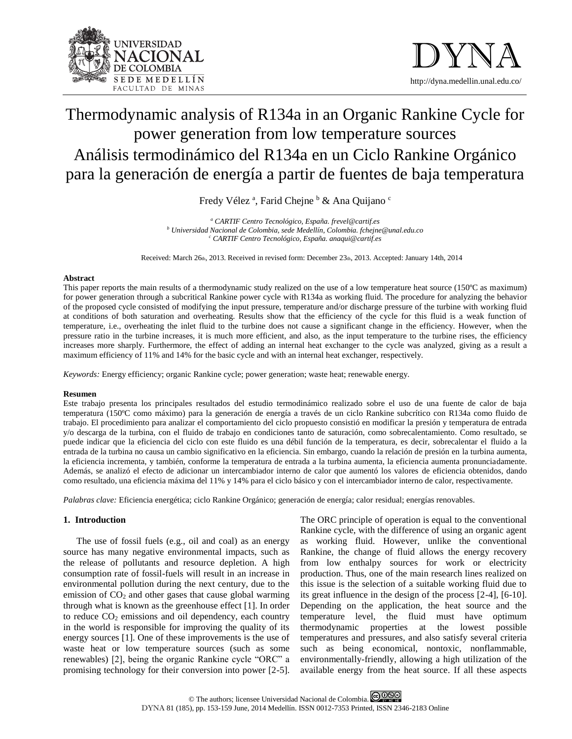



# Thermodynamic analysis of R134a in an Organic Rankine Cycle for power generation from low temperature sources Análisis termodinámico del R134a en un Ciclo Rankine Orgánico para la generación de energía a partir de fuentes de baja temperatura

Fredy Vélez<sup>a</sup>, Farid Chejne <sup>b</sup> & Ana Quijano <sup>c</sup>

*<sup>a</sup> CARTIF Centro Tecnológico, España. [frevel@cartif.es](mailto:frevel@cartif.es) <sup>b</sup> Universidad Nacional de Colombia, sede Medellín, Colombia[. fchejne@unal.edu.co](mailto:fchejne@unal.edu.co) <sup>c</sup> CARTIF Centro Tecnológico, España[. anaqui@cartif.es](mailto:anaqui@cartif.es)*

Received: March 26th, 2013. Received in revised form: December 23th, 2013. Accepted: January 14th, 2014

## **Abstract**

This paper reports the main results of a thermodynamic study realized on the use of a low temperature heat source (150ºC as maximum) for power generation through a subcritical Rankine power cycle with R134a as working fluid. The procedure for analyzing the behavior of the proposed cycle consisted of modifying the input pressure, temperature and/or discharge pressure of the turbine with working fluid at conditions of both saturation and overheating. Results show that the efficiency of the cycle for this fluid is a weak function of temperature, i.e., overheating the inlet fluid to the turbine does not cause a significant change in the efficiency. However, when the pressure ratio in the turbine increases, it is much more efficient, and also, as the input temperature to the turbine rises, the efficiency increases more sharply. Furthermore, the effect of adding an internal heat exchanger to the cycle was analyzed, giving as a result a maximum efficiency of 11% and 14% for the basic cycle and with an internal heat exchanger, respectively.

*Keywords:* Energy efficiency; organic Rankine cycle; power generation; waste heat; renewable energy.

## **Resumen**

Este trabajo presenta los principales resultados del estudio termodinámico realizado sobre el uso de una fuente de calor de baja temperatura (150ºC como máximo) para la generación de energía a través de un ciclo Rankine subcrítico con R134a como fluido de trabajo. El procedimiento para analizar el comportamiento del ciclo propuesto consistió en modificar la presión y temperatura de entrada y/o descarga de la turbina, con el fluido de trabajo en condiciones tanto de saturación, como sobrecalentamiento. Como resultado, se puede indicar que la eficiencia del ciclo con este fluido es una débil función de la temperatura, es decir, sobrecalentar el fluido a la entrada de la turbina no causa un cambio significativo en la eficiencia. Sin embargo, cuando la relación de presión en la turbina aumenta, la eficiencia incrementa, y también, conforme la temperatura de entrada a la turbina aumenta, la eficiencia aumenta pronunciadamente. Además, se analizó el efecto de adicionar un intercambiador interno de calor que aumentó los valores de eficiencia obtenidos, dando como resultado, una eficiencia máxima del 11% y 14% para el ciclo básico y con el intercambiador interno de calor, respectivamente.

*Palabras clave:* Eficiencia energética; ciclo Rankine Orgánico; generación de energía; calor residual; energías renovables.

# **1. Introduction**

The use of fossil fuels (e.g., oil and coal) as an energy source has many negative environmental impacts, such as the release of pollutants and resource depletion. A high consumption rate of fossil-fuels will result in an increase in environmental pollution during the next century, due to the emission of  $CO<sub>2</sub>$  and other gases that cause global warming through what is known as the greenhouse effect [1]. In order to reduce  $CO<sub>2</sub>$  emissions and oil dependency, each country in the world is responsible for improving the quality of its energy sources [1]. One of these improvements is the use of waste heat or low temperature sources (such as some renewables) [2], being the organic Rankine cycle "ORC" a promising technology for their conversion into power [2-5].

The ORC principle of operation is equal to the conventional Rankine cycle, with the difference of using an organic agent as working fluid. However, unlike the conventional Rankine, the change of fluid allows the energy recovery from low enthalpy sources for work or electricity production. Thus, one of the main research lines realized on this issue is the selection of a suitable working fluid due to its great influence in the design of the process [2-4], [6-10]. Depending on the application, the heat source and the temperature level, the fluid must have optimum thermodynamic properties at the lowest possible temperatures and pressures, and also satisfy several criteria such as being economical, nontoxic, nonflammable, environmentally-friendly, allowing a high utilization of the available energy from the heat source. If all these aspects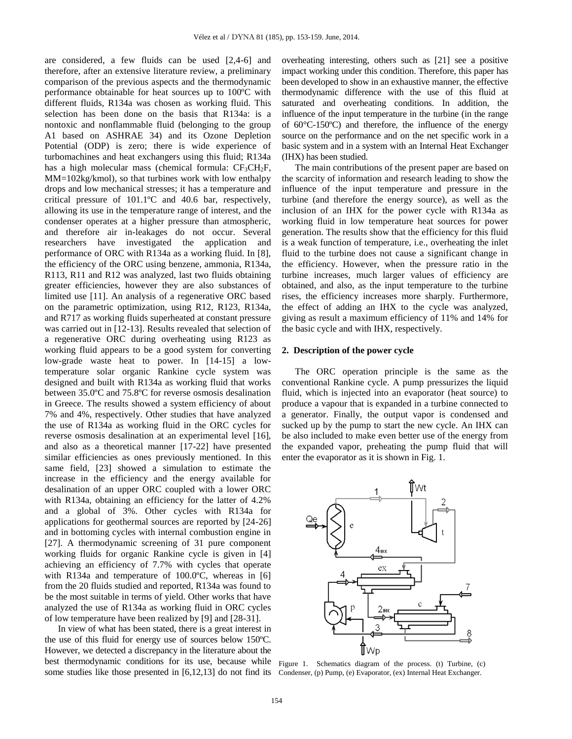are considered, a few fluids can be used [2,4-6] and therefore, after an extensive literature review, a preliminary comparison of the previous aspects and the thermodynamic performance obtainable for heat sources up to 100ºC with different fluids, R134a was chosen as working fluid. This selection has been done on the basis that R134a: is a nontoxic and nonflammable fluid (belonging to the group A1 based on ASHRAE 34) and its Ozone Depletion Potential (ODP) is zero; there is wide experience of turbomachines and heat exchangers using this fluid; R134a has a high molecular mass (chemical formula:  $CF<sub>3</sub>CH<sub>2</sub>F$ , MM=102kg/kmol), so that turbines work with low enthalpy drops and low mechanical stresses; it has a temperature and critical pressure of 101.1ºC and 40.6 bar, respectively, allowing its use in the temperature range of interest, and the condenser operates at a higher pressure than atmospheric, and therefore air in-leakages do not occur. Several researchers have investigated the application and performance of ORC with R134a as a working fluid. In [8], the efficiency of the ORC using benzene, ammonia, R134a, R113, R11 and R12 was analyzed, last two fluids obtaining greater efficiencies, however they are also substances of limited use [11]. An analysis of a regenerative ORC based on the parametric optimization, using R12, R123, R134a, and R717 as working fluids superheated at constant pressure was carried out in [12-13]. Results revealed that selection of a regenerative ORC during overheating using R123 as working fluid appears to be a good system for converting low-grade waste heat to power. In [14-15] a lowtemperature solar organic Rankine cycle system was designed and built with R134a as working fluid that works between 35.0ºC and 75.8ºC for reverse osmosis desalination in Greece. The results showed a system efficiency of about 7% and 4%, respectively. Other studies that have analyzed the use of R134a as working fluid in the ORC cycles for reverse osmosis desalination at an experimental level [16], and also as a theoretical manner [17-22] have presented similar efficiencies as ones previously mentioned. In this same field, [23] showed a simulation to estimate the increase in the efficiency and the energy available for desalination of an upper ORC coupled with a lower ORC with R134a, obtaining an efficiency for the latter of 4.2% and a global of 3%. Other cycles with R134a for applications for geothermal sources are reported by [24-26] and in bottoming cycles with internal combustion engine in [27]. A thermodynamic screening of 31 pure component working fluids for organic Rankine cycle is given in [4] achieving an efficiency of 7.7% with cycles that operate with R134a and temperature of 100.0ºC, whereas in [6] from the 20 fluids studied and reported, R134a was found to be the most suitable in terms of yield. Other works that have analyzed the use of R134a as working fluid in ORC cycles of low temperature have been realized by [9] and [28-31].

In view of what has been stated, there is a great interest in the use of this fluid for energy use of sources below 150ºC. However, we detected a discrepancy in the literature about the best thermodynamic conditions for its use, because while Figure 1. Schematics diagram of the process. (t) Turbine, (c) some studies like those presented in [6,12,13] do not find its Condenser, (p) Pump, (e) Evaporator, (ex) Internal Heat Exchanger.

overheating interesting, others such as [21] see a positive impact working under this condition. Therefore, this paper has been developed to show in an exhaustive manner, the effective thermodynamic difference with the use of this fluid at saturated and overheating conditions. In addition, the influence of the input temperature in the turbine (in the range of 60°C-150ºC) and therefore, the influence of the energy source on the performance and on the net specific work in a basic system and in a system with an Internal Heat Exchanger (IHX) has been studied.

The main contributions of the present paper are based on the scarcity of information and research leading to show the influence of the input temperature and pressure in the turbine (and therefore the energy source), as well as the inclusion of an IHX for the power cycle with R134a as working fluid in low temperature heat sources for power generation. The results show that the efficiency for this fluid is a weak function of temperature, i.e., overheating the inlet fluid to the turbine does not cause a significant change in the efficiency. However, when the pressure ratio in the turbine increases, much larger values of efficiency are obtained, and also, as the input temperature to the turbine rises, the efficiency increases more sharply. Furthermore, the effect of adding an IHX to the cycle was analyzed, giving as result a maximum efficiency of 11% and 14% for the basic cycle and with IHX, respectively.

# **2. Description of the power cycle**

The ORC operation principle is the same as the conventional Rankine cycle. A pump pressurizes the liquid fluid, which is injected into an evaporator (heat source) to produce a vapour that is expanded in a turbine connected to a generator. Finally, the output vapor is condensed and sucked up by the pump to start the new cycle. An IHX can be also included to make even better use of the energy from the expanded vapor, preheating the pump fluid that will enter the evaporator as it is shown in Fig. 1.

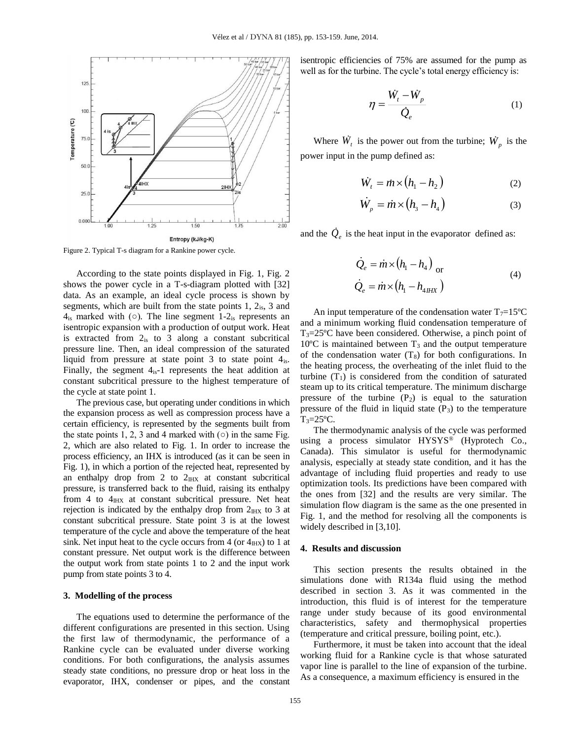

Figure 2. Typical T-s diagram for a Rankine power cycle.

According to the state points displayed in Fig. 1, Fig. 2 shows the power cycle in a T-s-diagram plotted with [32] data. As an example, an ideal cycle process is shown by segments, which are built from the state points 1, 2is, 3 and  $4_{\rm is}$  marked with ( $\circ$ ). The line segment 1- $2_{\rm is}$  represents an isentropic expansion with a production of output work. Heat is extracted from  $2_{is}$  to 3 along a constant subcritical pressure line. Then, an ideal compression of the saturated liquid from pressure at state point  $3$  to state point  $4_{is}$ . Finally, the segment  $4_{is}-1$  represents the heat addition at constant subcritical pressure to the highest temperature of the cycle at state point 1.

The previous case, but operating under conditions in which the expansion process as well as compression process have a certain efficiency, is represented by the segments built from the state points 1, 2, 3 and 4 marked with  $\circ$  in the same Fig. 2, which are also related to Fig. 1. In order to increase the process efficiency, an IHX is introduced (as it can be seen in Fig. 1), in which a portion of the rejected heat, represented by an enthalpy drop from 2 to  $2<sub>HIX</sub>$  at constant subcritical pressure, is transferred back to the fluid, raising its enthalpy from 4 to  $4_{\text{H}x}$  at constant subcritical pressure. Net heat rejection is indicated by the enthalpy drop from  $2_{\text{H}x}$  to 3 at constant subcritical pressure. State point 3 is at the lowest temperature of the cycle and above the temperature of the heat sink. Net input heat to the cycle occurs from 4 (or  $4_{HIX}$ ) to 1 at constant pressure. Net output work is the difference between the output work from state points 1 to 2 and the input work pump from state points 3 to 4.

# **3. Modelling of the process**

The equations used to determine the performance of the different configurations are presented in this section. Using the first law of thermodynamic, the performance of a Rankine cycle can be evaluated under diverse working conditions. For both configurations, the analysis assumes steady state conditions, no pressure drop or heat loss in the evaporator, IHX, condenser or pipes, and the constant isentropic efficiencies of 75% are assumed for the pump as well as for the turbine. The cycle's total energy efficiency is:

$$
\eta = \frac{\dot{W}_t - \dot{W}_p}{\dot{Q}_e} \tag{1}
$$

Where  $\dot{W}_t$  is the power out from the turbine;  $\dot{W}_p$  is the power input in the pump defined as:

$$
\dot{W}_t = \dot{m} \times (h_1 - h_2) \tag{2}
$$

$$
\dot{W}_p = \dot{m} \times (h_3 - h_4) \tag{3}
$$

and the  $\dot{Q}_e$  is the heat input in the evaporator defined as:

$$
\dot{Q}_e = \dot{m} \times (h_1 - h_4)_{\text{or}}
$$
\n
$$
\dot{Q}_e = \dot{m} \times (h_1 - h_{4\pi})
$$
\n(4)

An input temperature of the condensation water  $T_7=15^{\circ}C$ and a minimum working fluid condensation temperature of  $T_3 = 25$ °C have been considered. Otherwise, a pinch point of  $10^{\circ}$ C is maintained between T<sub>3</sub> and the output temperature of the condensation water  $(T_8)$  for both configurations. In the heating process, the overheating of the inlet fluid to the turbine  $(T_1)$  is considered from the condition of saturated steam up to its critical temperature. The minimum discharge pressure of the turbine  $(P_2)$  is equal to the saturation pressure of the fluid in liquid state  $(P_3)$  to the temperature  $T = 25$ °C.

The thermodynamic analysis of the cycle was performed using a process simulator  $HYSYS^{\circledcirc}$  (Hyprotech Co., Canada). This simulator is useful for thermodynamic analysis, especially at steady state condition, and it has the advantage of including fluid properties and ready to use optimization tools. Its predictions have been compared with the ones from [32] and the results are very similar. The simulation flow diagram is the same as the one presented in Fig. 1, and the method for resolving all the components is widely described in [3,10].

### **4. Results and discussion**

This section presents the results obtained in the simulations done with R134a fluid using the method described in section 3. As it was commented in the introduction, this fluid is of interest for the temperature range under study because of its good environmental characteristics, safety and thermophysical properties (temperature and critical pressure, boiling point, etc.).

Furthermore, it must be taken into account that the ideal working fluid for a Rankine cycle is that whose saturated vapor line is parallel to the line of expansion of the turbine. As a consequence, a maximum efficiency is ensured in the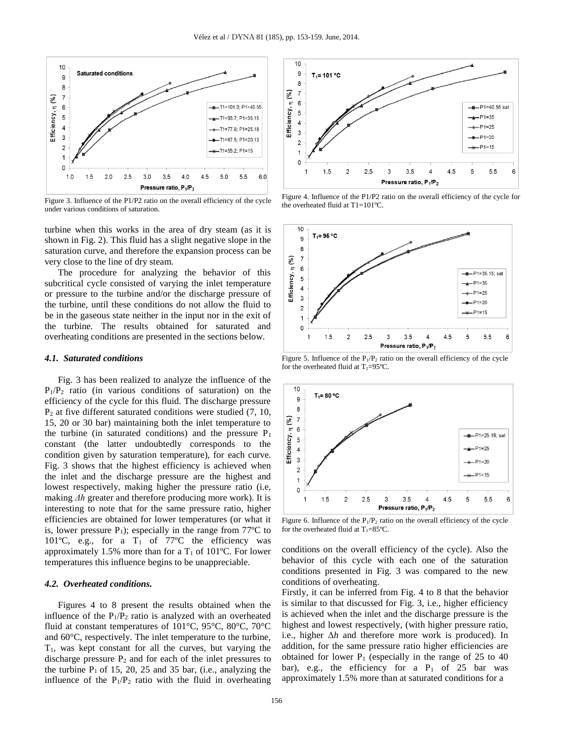

Figure 3. Influence of the P1/P2 ratio on the overall efficiency of the cycle under various conditions of saturation.

turbine when this works in the area of dry steam (as it is shown in Fig. 2). This fluid has a slight negative slope in the saturation curve, and therefore the expansion process can be very close to the line of dry steam.

The procedure for analyzing the behavior of this subcritical cycle consisted of varying the inlet temperature or pressure to the turbine and/or the discharge pressure of the turbine, until these conditions do not allow the fluid to be in the gaseous state neither in the input nor in the exit of the turbine. The results obtained for saturated and overheating conditions are presented in the sections below.

#### *4.1. Saturated conditions*

Fig. 3 has been realized to analyze the influence of the  $P_1/P_2$  ratio (in various conditions of saturation) on the efficiency of the cycle for this fluid. The discharge pressure P<sup>2</sup> at five different saturated conditions were studied (7, 10, 15, 20 or 30 bar) maintaining both the inlet temperature to the turbine (in saturated conditions) and the pressure  $P_1$ constant (the latter undoubtedly corresponds to the condition given by saturation temperature), for each curve. Fig. 3 shows that the highest efficiency is achieved when the inlet and the discharge pressure are the highest and lowest respectively, making higher the pressure ratio (i.e, making *Δh* greater and therefore producing more work). It is interesting to note that for the same pressure ratio, higher efficiencies are obtained for lower temperatures (or what it is, lower pressure  $P_1$ ); especially in the range from 77 $^{\circ}$ C to 101 $^{\circ}$ C, e.g., for a T<sub>1</sub> of 77 $^{\circ}$ C the efficiency was approximately 1.5% more than for a  $T_1$  of 101°C. For lower temperatures this influence begins to be unappreciable.

# *4.2. Overheated conditions.*

Figures 4 to 8 present the results obtained when the influence of the  $P_1/P_2$  ratio is analyzed with an overheated fluid at constant temperatures of 101°C, 95°C, 80°C, 70°C and 60°C, respectively. The inlet temperature to the turbine,  $T_1$ , was kept constant for all the curves, but varying the discharge pressure  $P_2$  and for each of the inlet pressures to the turbine  $P_1$  of 15, 20, 25 and 35 bar, (i.e., analyzing the influence of the  $P_1/P_2$  ratio with the fluid in overheating



Figure 4. Influence of the P1/P2 ratio on the overall efficiency of the cycle for the overheated fluid at T1=101ºC.



Figure 5. Influence of the  $P_1/P_2$  ratio on the overall efficiency of the cycle for the overheated fluid at  $T_1=95^{\circ}C$ .



Figure 6. Influence of the  $P_1/P_2$  ratio on the overall efficiency of the cycle for the overheated fluid at  $T_1=85^{\circ}C$ .

conditions on the overall efficiency of the cycle). Also the behavior of this cycle with each one of the saturation conditions presented in Fig. 3 was compared to the new conditions of overheating.

Firstly, it can be inferred from Fig. 4 to 8 that the behavior is similar to that discussed for Fig. 3, i.e., higher efficiency is achieved when the inlet and the discharge pressure is the highest and lowest respectively, (with higher pressure ratio, i.e., higher Δ*h* and therefore more work is produced). In addition, for the same pressure ratio higher efficiencies are obtained for lower  $P_1$  (especially in the range of 25 to 40 bar), e.g., the efficiency for a  $P_1$  of 25 bar was approximately 1.5% more than at saturated conditions for a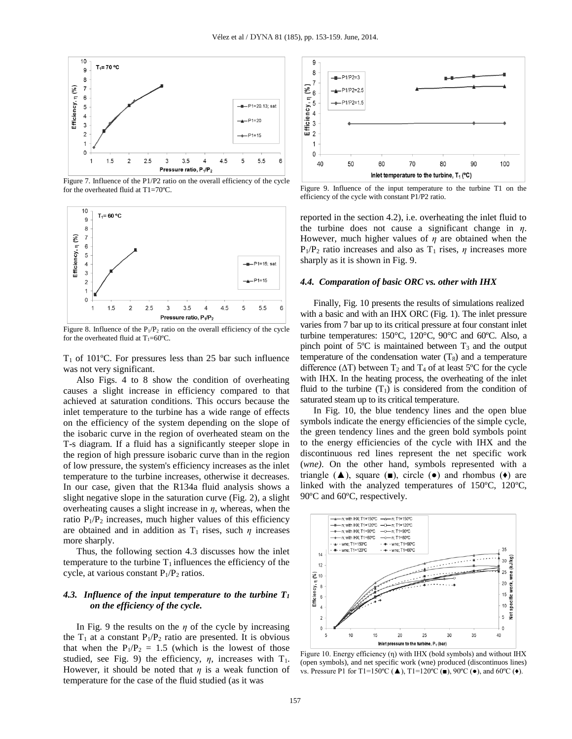

Figure 7. Influence of the P1/P2 ratio on the overall efficiency of the cycle for the overheated fluid at T1=70ºC.



Figure 8. Influence of the  $P_1/P_2$  ratio on the overall efficiency of the cycle for the overheated fluid at  $T_1=60^{\circ}C$ .

 $T_1$  of 101°C. For pressures less than 25 bar such influence was not very significant.

Also Figs. 4 to 8 show the condition of overheating causes a slight increase in efficiency compared to that achieved at saturation conditions. This occurs because the inlet temperature to the turbine has a wide range of effects on the efficiency of the system depending on the slope of the isobaric curve in the region of overheated steam on the T-s diagram. If a fluid has a significantly steeper slope in the region of high pressure isobaric curve than in the region of low pressure, the system's efficiency increases as the inlet temperature to the turbine increases, otherwise it decreases. In our case, given that the R134a fluid analysis shows a slight negative slope in the saturation curve (Fig. 2), a slight overheating causes a slight increase in *η*, whereas, when the ratio  $P_1/P_2$  increases, much higher values of this efficiency are obtained and in addition as  $T_1$  rises, such  $\eta$  increases more sharply.

Thus, the following section 4.3 discusses how the inlet temperature to the turbine  $T_1$  influences the efficiency of the cycle, at various constant  $P_1/P_2$  ratios.

# *4.3. Influence of the input temperature to the turbine T<sup>1</sup> on the efficiency of the cycle.*

In Fig. 9 the results on the *η* of the cycle by increasing the  $T_1$  at a constant  $P_1/P_2$  ratio are presented. It is obvious that when the  $P_1/P_2 = 1.5$  (which is the lowest of those studied, see Fig. 9) the efficiency,  $\eta$ , increases with  $T_1$ . However, it should be noted that *η* is a weak function of temperature for the case of the fluid studied (as it was



Figure 9. Influence of the input temperature to the turbine T1 on the efficiency of the cycle with constant P1/P2 ratio.

reported in the section 4.2), i.e. overheating the inlet fluid to the turbine does not cause a significant change in *η*. However, much higher values of *η* are obtained when the  $P_1/P_2$  ratio increases and also as  $T_1$  rises,  $\eta$  increases more sharply as it is shown in Fig. 9.

#### *4.4. Comparation of basic ORC vs. other with IHX*

Finally, Fig. 10 presents the results of simulations realized with a basic and with an IHX ORC (Fig. 1). The inlet pressure varies from 7 bar up to its critical pressure at four constant inlet turbine temperatures: 150°C, 120°C, 90°C and 60ºC. Also, a pinch point of  $5^{\circ}$ C is maintained between  $T_3$  and the output temperature of the condensation water  $(T_8)$  and a temperature difference ( $\Delta T$ ) between T<sub>2</sub> and T<sub>4</sub> of at least 5<sup>o</sup>C for the cycle with IHX. In the heating process, the overheating of the inlet fluid to the turbine  $(T_1)$  is considered from the condition of saturated steam up to its critical temperature.

In Fig. 10, the blue tendency lines and the open blue symbols indicate the energy efficiencies of the simple cycle, the green tendency lines and the green bold symbols point to the energy efficiencies of the cycle with IHX and the discontinuous red lines represent the net specific work (*wne)*. On the other hand, symbols represented with a triangle  $(\triangle)$ , square  $(\square)$ , circle  $(\bullet)$  and rhombus  $(\bullet)$  are linked with the analyzed temperatures of 150ºC, 120ºC, 90ºC and 60ºC, respectively.



Figure 10. Energy efficiency (η) with IHX (bold symbols) and without IHX (open symbols), and net specific work (wne) produced (discontinuos lines) vs. Pressure P1 for T1=150°C ( $\blacktriangle$ ), T1=120°C ( $\blacktriangleright$ ), 90°C ( $\blacktriangleright$ ), and 60°C ( $\blacklozenge$ ).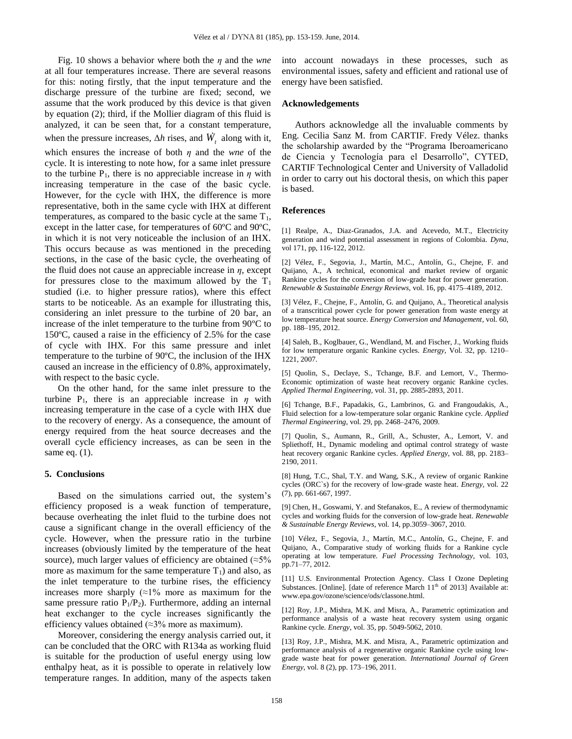Fig. 10 shows a behavior where both the *η* and the *wne* at all four temperatures increase. There are several reasons for this: noting firstly, that the input temperature and the discharge pressure of the turbine are fixed; second, we assume that the work produced by this device is that given by equation (2); third, if the Mollier diagram of this fluid is analyzed, it can be seen that, for a constant temperature, when the pressure increases,  $\Delta h$  rises, and  $\ddot{W}_t$  along with it, which ensures the increase of both *η* and the *wne* of the cycle. It is interesting to note how, for a same inlet pressure to the turbine  $P_1$ , there is no appreciable increase in  $\eta$  with increasing temperature in the case of the basic cycle. However, for the cycle with IHX, the difference is more representative, both in the same cycle with IHX at different temperatures, as compared to the basic cycle at the same  $T_1$ , except in the latter case, for temperatures of 60ºC and 90ºC, in which it is not very noticeable the inclusion of an IHX. This occurs because as was mentioned in the preceding sections, in the case of the basic cycle, the overheating of the fluid does not cause an appreciable increase in *η*, except for pressures close to the maximum allowed by the  $T_1$ studied (i.e. to higher pressure ratios), where this effect starts to be noticeable. As an example for illustrating this, considering an inlet pressure to the turbine of 20 bar, an increase of the inlet temperature to the turbine from 90ºC to 150ºC, caused a raise in the efficiency of 2.5% for the case of cycle with IHX. For this same pressure and inlet temperature to the turbine of 90ºC, the inclusion of the IHX caused an increase in the efficiency of 0.8%, approximately, with respect to the basic cycle.

On the other hand, for the same inlet pressure to the turbine  $P_1$ , there is an appreciable increase in *η* with increasing temperature in the case of a cycle with IHX due to the recovery of energy. As a consequence, the amount of energy required from the heat source decreases and the overall cycle efficiency increases, as can be seen in the same eq. (1).

## **5. Conclusions**

Based on the simulations carried out, the system's efficiency proposed is a weak function of temperature, because overheating the inlet fluid to the turbine does not cause a significant change in the overall efficiency of the cycle. However, when the pressure ratio in the turbine increases (obviously limited by the temperature of the heat source), much larger values of efficiency are obtained ( $\approx$ 5% more as maximum for the same temperature  $T_1$ ) and also, as the inlet temperature to the turbine rises, the efficiency increases more sharply  $(\approx 1\%$  more as maximum for the same pressure ratio  $P_1/P_2$ ). Furthermore, adding an internal heat exchanger to the cycle increases significantly the efficiency values obtained ( $\approx$ 3% more as maximum).

Moreover, considering the energy analysis carried out, it can be concluded that the ORC with R134a as working fluid is suitable for the production of useful energy using low enthalpy heat, as it is possible to operate in relatively low temperature ranges. In addition, many of the aspects taken into account nowadays in these processes, such as environmental issues, safety and efficient and rational use of energy have been satisfied.

# **Acknowledgements**

Authors acknowledge all the invaluable comments by Eng. Cecilia Sanz M. from CARTIF. Fredy Vélez. thanks the scholarship awarded by the "Programa Iberoamericano de Ciencia y Tecnología para el Desarrollo", CYTED, CARTIF Technological Center and University of Valladolid in order to carry out his doctoral thesis, on which this paper is based.

#### **References**

[1] Realpe, A., Diaz-Granados, J.A. and Acevedo, M.T., Electricity generation and wind potential assessment in regions of Colombia. *Dyna,* vol 171, pp, 116-122, 2012.

[2] Vélez, F., Segovia, J., Martín, M.C., Antolín, G., Chejne, F. and Quijano, A., A technical, economical and market review of organic Rankine cycles for the conversion of low-grade heat for power generation. *Renewable & Sustainable Energy Reviews,* vol. 16, pp. 4175–4189, 2012.

[3] Vélez, F., Chejne, F., Antolín, G. and Quijano, A., Theoretical analysis of a transcritical power cycle for power generation from waste energy at low temperature heat source. *Energy Conversion and Management*, vol. 60, pp. 188–195, 2012.

[4] Saleh, B., Koglbauer, G., Wendland, M. and Fischer, J., Working fluids for low temperature organic Rankine cycles. *Energy,* Vol. 32, pp. 1210– 1221, 2007.

[5] Quolin, S., Declaye, S., Tchange, B.F. and Lemort, V., Thermo-Economic optimization of waste heat recovery organic Rankine cycles. *Applied Thermal Engineering*, vol. 31, pp. 2885-2893, 2011.

[6] Tchange, B.F., Papadakis, G., Lambrinos, G. and Frangoudakis, A., Fluid selection for a low-temperature solar organic Rankine cycle. *Applied Thermal Engineering*, vol. 29, pp. 2468–2476, 2009.

[7] Quolin, S., Aumann, R., Grill, A., Schuster, A., Lemort, V. and Spliethoff, H., Dynamic modeling and optimal control strategy of waste heat recovery organic Rankine cycles. *Applied Energy*, vol. 88, pp. 2183– 2190, 2011.

[8] Hung, T.C., Shal, T.Y. and Wang, S.K., A review of organic Rankine cycles (ORC`s) for the recovery of low-grade waste heat. *Energy,* vol. 22 (7), pp. 661-667, 1997.

[9] Chen, H., Goswami, Y. and Stefanakos, E., A review of thermodynamic cycles and working fluids for the conversion of low-grade heat. *Renewable & Sustainable Energy Reviews*, vol. 14, pp.3059–3067, 2010.

[10] Vélez, F., Segovia, J., Martín, M.C., Antolín, G., Chejne, F. and Quijano, A., Comparative study of working fluids for a Rankine cycle operating at low temperature. *Fuel Processing Technology*, vol. 103, pp.71–77, 2012.

[11] U.S. Environmental Protection Agency. Class I Ozone Depleting Substances. [Online]. [date of reference March  $11<sup>th</sup>$  of 2013] Available at: www.epa.gov/ozone/science/ods/classone.html.

[12] Roy, J.P., Mishra, M.K. and Misra, A., Parametric optimization and performance analysis of a waste heat recovery system using organic Rankine cycle. *Energy*, vol. 35, pp. 5049-5062, 2010.

[13] Roy, J.P., Mishra, M.K. and Misra, A., Parametric optimization and performance analysis of a regenerative organic Rankine cycle using lowgrade waste heat for power generation. *International Journal of Green Energy*, vol. 8 (2), pp. 173–196, 2011.